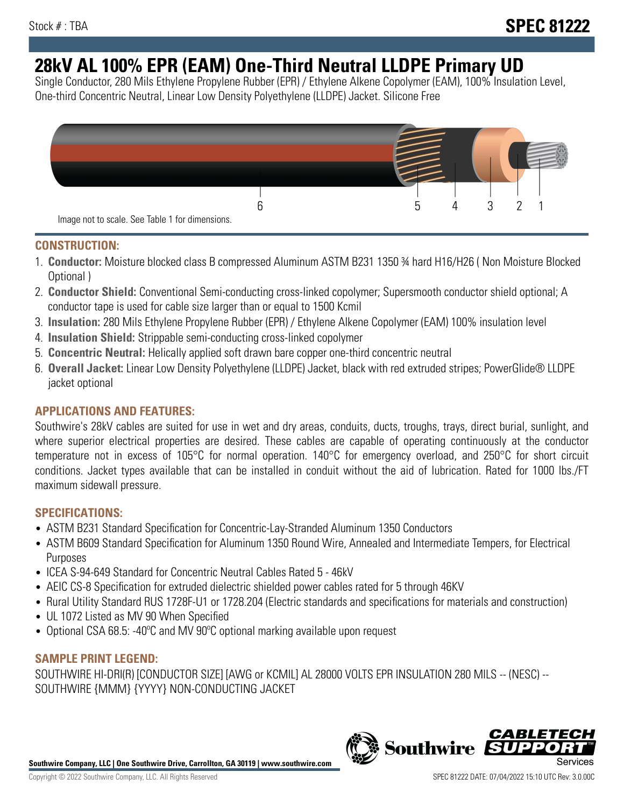# **28kV AL 100% EPR (EAM) One-Third Neutral LLDPE Primary UD**

Single Conductor, 280 Mils Ethylene Propylene Rubber (EPR) / Ethylene Alkene Copolymer (EAM), 100% Insulation Level, One-third Concentric Neutral, Linear Low Density Polyethylene (LLDPE) Jacket. Silicone Free



## **CONSTRUCTION:**

- 1. **Conductor:** Moisture blocked class B compressed Aluminum ASTM B231 1350 ¾ hard H16/H26 ( Non Moisture Blocked Optional )
- 2. **Conductor Shield:** Conventional Semi-conducting cross-linked copolymer; Supersmooth conductor shield optional; A conductor tape is used for cable size larger than or equal to 1500 Kcmil
- 3. **Insulation:** 280 Mils Ethylene Propylene Rubber (EPR) / Ethylene Alkene Copolymer (EAM) 100% insulation level
- 4. **Insulation Shield:** Strippable semi-conducting cross-linked copolymer
- 5. **Concentric Neutral:** Helically applied soft drawn bare copper one-third concentric neutral
- 6. **Overall Jacket:** Linear Low Density Polyethylene (LLDPE) Jacket, black with red extruded stripes; PowerGlide® LLDPE jacket optional

# **APPLICATIONS AND FEATURES:**

Southwire's 28kV cables are suited for use in wet and dry areas, conduits, ducts, troughs, trays, direct burial, sunlight, and where superior electrical properties are desired. These cables are capable of operating continuously at the conductor temperature not in excess of 105°C for normal operation. 140°C for emergency overload, and 250°C for short circuit conditions. Jacket types available that can be installed in conduit without the aid of lubrication. Rated for 1000 lbs./FT maximum sidewall pressure.

## **SPECIFICATIONS:**

- ASTM B231 Standard Specification for Concentric-Lay-Stranded Aluminum 1350 Conductors
- ASTM B609 Standard Specification for Aluminum 1350 Round Wire, Annealed and Intermediate Tempers, for Electrical Purposes
- ICEA S-94-649 Standard for Concentric Neutral Cables Rated 5 46kV
- AEIC CS-8 Specification for extruded dielectric shielded power cables rated for 5 through 46KV
- Rural Utility Standard RUS 1728F-U1 or 1728.204 (Electric standards and specifications for materials and construction)
- UL 1072 Listed as MV 90 When Specified
- Optional CSA 68.5: -40ºC and MV 90ºC optional marking available upon request

## **SAMPLE PRINT LEGEND:**

SOUTHWIRE HI-DRI(R) [CONDUCTOR SIZE] [AWG or KCMIL] AL 28000 VOLTS EPR INSULATION 280 MILS -- (NESC) -- SOUTHWIRE {MMM} {YYYY} NON-CONDUCTING JACKET



**Southwire** 

*CABLE*